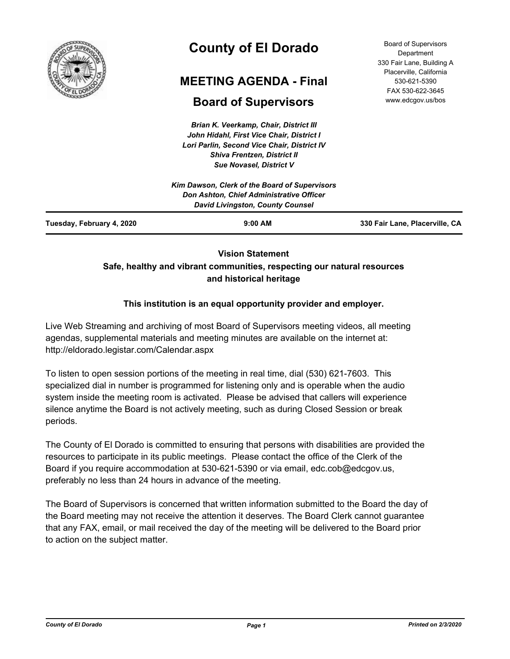

# **County of El Dorado**

# **MEETING AGENDA - Final**

## **Board of Supervisors**

*Brian K. Veerkamp, Chair, District III John Hidahl, First Vice Chair, District I Lori Parlin, Second Vice Chair, District IV Shiva Frentzen, District II Sue Novasel, District V*

Board of Supervisors **Department** 330 Fair Lane, Building A Placerville, California 530-621-5390 FAX 530-622-3645 www.edcgov.us/bos

### **Vision Statement Safe, healthy and vibrant communities, respecting our natural resources and historical heritage**

### **This institution is an equal opportunity provider and employer.**

Live Web Streaming and archiving of most Board of Supervisors meeting videos, all meeting agendas, supplemental materials and meeting minutes are available on the internet at: http://eldorado.legistar.com/Calendar.aspx

To listen to open session portions of the meeting in real time, dial (530) 621-7603. This specialized dial in number is programmed for listening only and is operable when the audio system inside the meeting room is activated. Please be advised that callers will experience silence anytime the Board is not actively meeting, such as during Closed Session or break periods.

The County of El Dorado is committed to ensuring that persons with disabilities are provided the resources to participate in its public meetings. Please contact the office of the Clerk of the Board if you require accommodation at 530-621-5390 or via email, edc.cob@edcgov.us, preferably no less than 24 hours in advance of the meeting.

The Board of Supervisors is concerned that written information submitted to the Board the day of the Board meeting may not receive the attention it deserves. The Board Clerk cannot guarantee that any FAX, email, or mail received the day of the meeting will be delivered to the Board prior to action on the subject matter.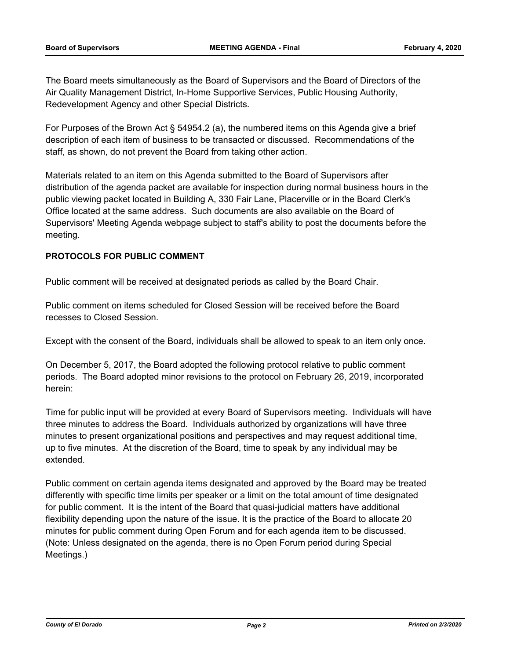The Board meets simultaneously as the Board of Supervisors and the Board of Directors of the Air Quality Management District, In-Home Supportive Services, Public Housing Authority, Redevelopment Agency and other Special Districts.

For Purposes of the Brown Act § 54954.2 (a), the numbered items on this Agenda give a brief description of each item of business to be transacted or discussed. Recommendations of the staff, as shown, do not prevent the Board from taking other action.

Materials related to an item on this Agenda submitted to the Board of Supervisors after distribution of the agenda packet are available for inspection during normal business hours in the public viewing packet located in Building A, 330 Fair Lane, Placerville or in the Board Clerk's Office located at the same address. Such documents are also available on the Board of Supervisors' Meeting Agenda webpage subject to staff's ability to post the documents before the meeting.

#### **PROTOCOLS FOR PUBLIC COMMENT**

Public comment will be received at designated periods as called by the Board Chair.

Public comment on items scheduled for Closed Session will be received before the Board recesses to Closed Session.

Except with the consent of the Board, individuals shall be allowed to speak to an item only once.

On December 5, 2017, the Board adopted the following protocol relative to public comment periods. The Board adopted minor revisions to the protocol on February 26, 2019, incorporated herein:

Time for public input will be provided at every Board of Supervisors meeting. Individuals will have three minutes to address the Board. Individuals authorized by organizations will have three minutes to present organizational positions and perspectives and may request additional time, up to five minutes. At the discretion of the Board, time to speak by any individual may be extended.

Public comment on certain agenda items designated and approved by the Board may be treated differently with specific time limits per speaker or a limit on the total amount of time designated for public comment. It is the intent of the Board that quasi-judicial matters have additional flexibility depending upon the nature of the issue. It is the practice of the Board to allocate 20 minutes for public comment during Open Forum and for each agenda item to be discussed. (Note: Unless designated on the agenda, there is no Open Forum period during Special Meetings.)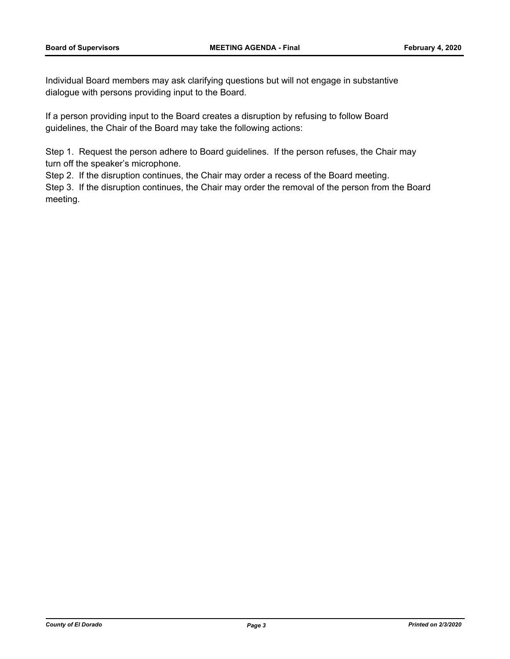Individual Board members may ask clarifying questions but will not engage in substantive dialogue with persons providing input to the Board.

If a person providing input to the Board creates a disruption by refusing to follow Board guidelines, the Chair of the Board may take the following actions:

Step 1. Request the person adhere to Board guidelines. If the person refuses, the Chair may turn off the speaker's microphone.

Step 2. If the disruption continues, the Chair may order a recess of the Board meeting.

Step 3. If the disruption continues, the Chair may order the removal of the person from the Board meeting.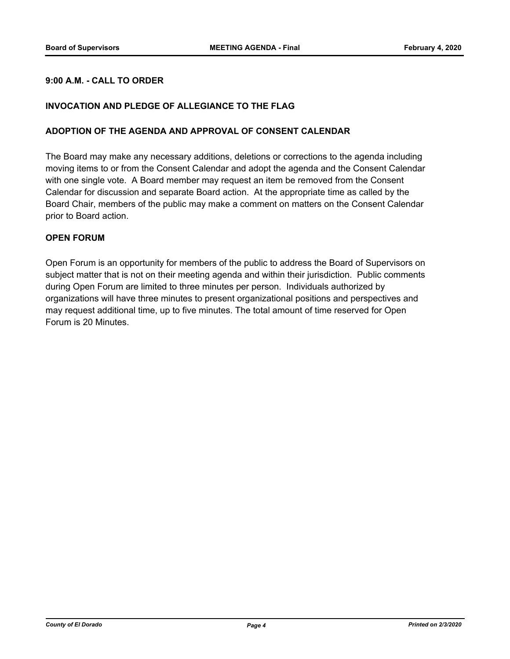#### **9:00 A.M. - CALL TO ORDER**

#### **INVOCATION AND PLEDGE OF ALLEGIANCE TO THE FLAG**

#### **ADOPTION OF THE AGENDA AND APPROVAL OF CONSENT CALENDAR**

The Board may make any necessary additions, deletions or corrections to the agenda including moving items to or from the Consent Calendar and adopt the agenda and the Consent Calendar with one single vote. A Board member may request an item be removed from the Consent Calendar for discussion and separate Board action. At the appropriate time as called by the Board Chair, members of the public may make a comment on matters on the Consent Calendar prior to Board action.

#### **OPEN FORUM**

Open Forum is an opportunity for members of the public to address the Board of Supervisors on subject matter that is not on their meeting agenda and within their jurisdiction. Public comments during Open Forum are limited to three minutes per person. Individuals authorized by organizations will have three minutes to present organizational positions and perspectives and may request additional time, up to five minutes. The total amount of time reserved for Open Forum is 20 Minutes.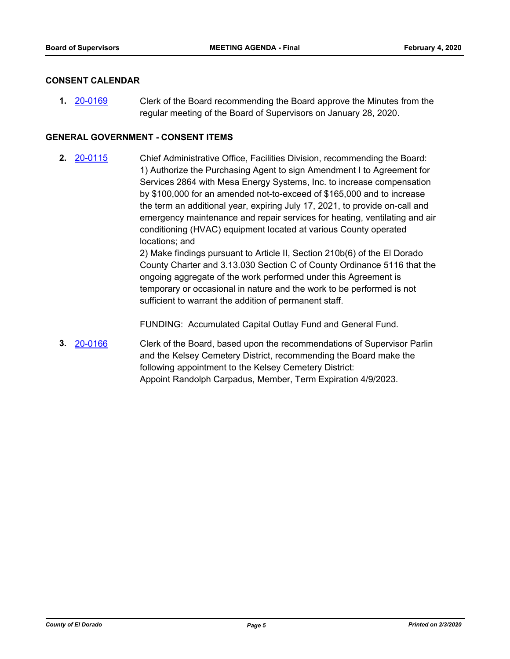#### **CONSENT CALENDAR**

Clerk of the Board recommending the Board approve the Minutes from the regular meeting of the Board of Supervisors on January 28, 2020. **1.** [20-0169](http://eldorado.legistar.com/gateway.aspx?m=l&id=/matter.aspx?key=27374)

#### **GENERAL GOVERNMENT - CONSENT ITEMS**

Chief Administrative Office, Facilities Division, recommending the Board: 1) Authorize the Purchasing Agent to sign Amendment I to Agreement for Services 2864 with Mesa Energy Systems, Inc. to increase compensation by \$100,000 for an amended not-to-exceed of \$165,000 and to increase the term an additional year, expiring July 17, 2021, to provide on-call and emergency maintenance and repair services for heating, ventilating and air conditioning (HVAC) equipment located at various County operated locations; and **2.** [20-0115](http://eldorado.legistar.com/gateway.aspx?m=l&id=/matter.aspx?key=27320)

2) Make findings pursuant to Article II, Section 210b(6) of the El Dorado County Charter and 3.13.030 Section C of County Ordinance 5116 that the ongoing aggregate of the work performed under this Agreement is temporary or occasional in nature and the work to be performed is not sufficient to warrant the addition of permanent staff.

FUNDING: Accumulated Capital Outlay Fund and General Fund.

Clerk of the Board, based upon the recommendations of Supervisor Parlin and the Kelsey Cemetery District, recommending the Board make the following appointment to the Kelsey Cemetery District: Appoint Randolph Carpadus, Member, Term Expiration 4/9/2023. **3.** [20-0166](http://eldorado.legistar.com/gateway.aspx?m=l&id=/matter.aspx?key=27371)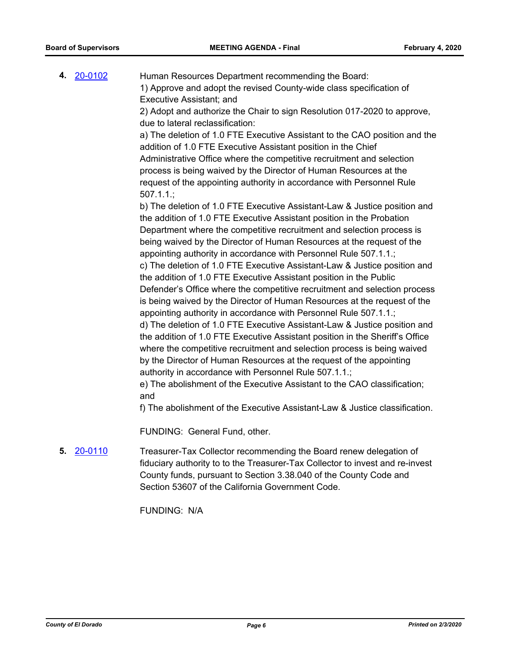Human Resources Department recommending the Board: 1) Approve and adopt the revised County-wide class specification of Executive Assistant; and 2) Adopt and authorize the Chair to sign Resolution 017-2020 to approve, due to lateral reclassification: a) The deletion of 1.0 FTE Executive Assistant to the CAO position and the addition of 1.0 FTE Executive Assistant position in the Chief Administrative Office where the competitive recruitment and selection process is being waived by the Director of Human Resources at the request of the appointing authority in accordance with Personnel Rule 507.1.1.; b) The deletion of 1.0 FTE Executive Assistant-Law & Justice position and the addition of 1.0 FTE Executive Assistant position in the Probation Department where the competitive recruitment and selection process is being waived by the Director of Human Resources at the request of the appointing authority in accordance with Personnel Rule 507.1.1.; c) The deletion of 1.0 FTE Executive Assistant-Law & Justice position and the addition of 1.0 FTE Executive Assistant position in the Public Defender's Office where the competitive recruitment and selection process is being waived by the Director of Human Resources at the request of the appointing authority in accordance with Personnel Rule 507.1.1.; d) The deletion of 1.0 FTE Executive Assistant-Law & Justice position and the addition of 1.0 FTE Executive Assistant position in the Sheriff's Office where the competitive recruitment and selection process is being waived by the Director of Human Resources at the request of the appointing authority in accordance with Personnel Rule 507.1.1.; e) The abolishment of the Executive Assistant to the CAO classification; and f) The abolishment of the Executive Assistant-Law & Justice classification. **4.** [20-0102](http://eldorado.legistar.com/gateway.aspx?m=l&id=/matter.aspx?key=27307)

FUNDING: General Fund, other.

Treasurer-Tax Collector recommending the Board renew delegation of fiduciary authority to to the Treasurer-Tax Collector to invest and re-invest County funds, pursuant to Section 3.38.040 of the County Code and Section 53607 of the California Government Code. **5.** [20-0110](http://eldorado.legistar.com/gateway.aspx?m=l&id=/matter.aspx?key=27315)

FUNDING: N/A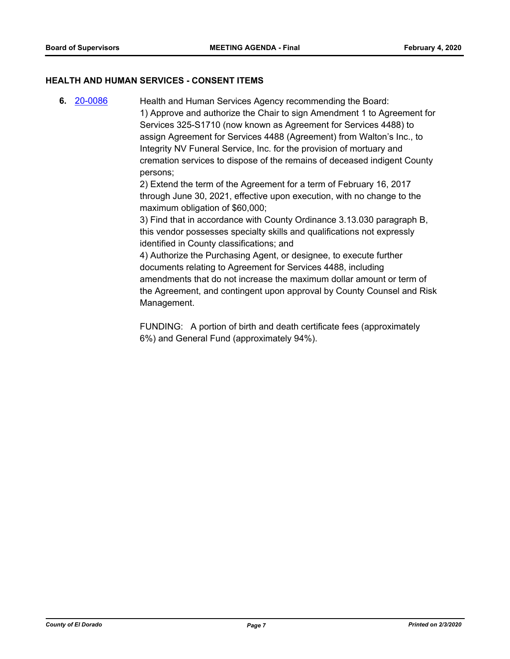#### **HEALTH AND HUMAN SERVICES - CONSENT ITEMS**

Health and Human Services Agency recommending the Board: 1) Approve and authorize the Chair to sign Amendment 1 to Agreement for Services 325-S1710 (now known as Agreement for Services 4488) to assign Agreement for Services 4488 (Agreement) from Walton's Inc., to Integrity NV Funeral Service, Inc. for the provision of mortuary and cremation services to dispose of the remains of deceased indigent County persons; **6.** [20-0086](http://eldorado.legistar.com/gateway.aspx?m=l&id=/matter.aspx?key=27291)

2) Extend the term of the Agreement for a term of February 16, 2017 through June 30, 2021, effective upon execution, with no change to the maximum obligation of \$60,000;

3) Find that in accordance with County Ordinance 3.13.030 paragraph B, this vendor possesses specialty skills and qualifications not expressly identified in County classifications; and

4) Authorize the Purchasing Agent, or designee, to execute further documents relating to Agreement for Services 4488, including amendments that do not increase the maximum dollar amount or term of the Agreement, and contingent upon approval by County Counsel and Risk Management.

FUNDING: A portion of birth and death certificate fees (approximately 6%) and General Fund (approximately 94%).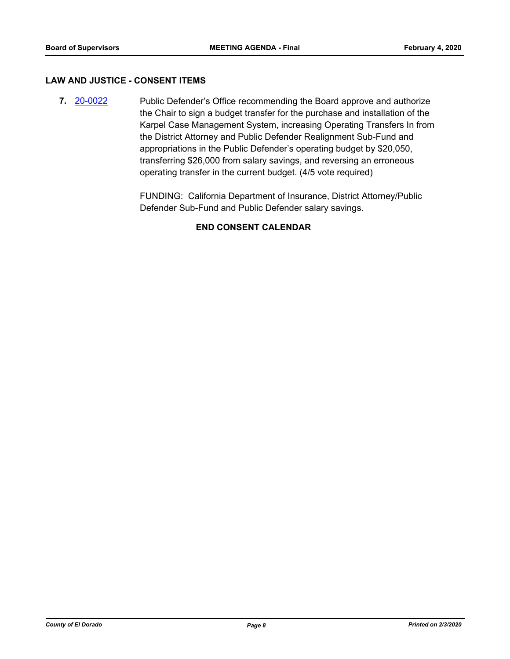#### **LAW AND JUSTICE - CONSENT ITEMS**

Public Defender's Office recommending the Board approve and authorize the Chair to sign a budget transfer for the purchase and installation of the Karpel Case Management System, increasing Operating Transfers In from the District Attorney and Public Defender Realignment Sub-Fund and appropriations in the Public Defender's operating budget by \$20,050, transferring \$26,000 from salary savings, and reversing an erroneous operating transfer in the current budget. (4/5 vote required) **7.** [20-0022](http://eldorado.legistar.com/gateway.aspx?m=l&id=/matter.aspx?key=27226)

> FUNDING: California Department of Insurance, District Attorney/Public Defender Sub-Fund and Public Defender salary savings.

#### **END CONSENT CALENDAR**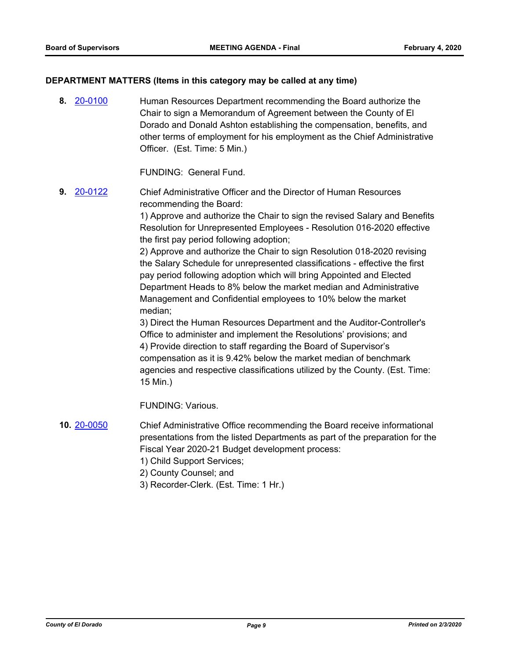#### **DEPARTMENT MATTERS (Items in this category may be called at any time)**

Human Resources Department recommending the Board authorize the Chair to sign a Memorandum of Agreement between the County of El Dorado and Donald Ashton establishing the compensation, benefits, and other terms of employment for his employment as the Chief Administrative Officer. (Est. Time: 5 Min.) **8.** [20-0100](http://eldorado.legistar.com/gateway.aspx?m=l&id=/matter.aspx?key=27305)

FUNDING: General Fund.

Chief Administrative Officer and the Director of Human Resources recommending the Board: **9.** [20-0122](http://eldorado.legistar.com/gateway.aspx?m=l&id=/matter.aspx?key=27327)

> 1) Approve and authorize the Chair to sign the revised Salary and Benefits Resolution for Unrepresented Employees - Resolution 016-2020 effective the first pay period following adoption;

2) Approve and authorize the Chair to sign Resolution 018-2020 revising the Salary Schedule for unrepresented classifications - effective the first pay period following adoption which will bring Appointed and Elected Department Heads to 8% below the market median and Administrative Management and Confidential employees to 10% below the market median;

3) Direct the Human Resources Department and the Auditor-Controller's Office to administer and implement the Resolutions' provisions; and 4) Provide direction to staff regarding the Board of Supervisor's compensation as it is 9.42% below the market median of benchmark agencies and respective classifications utilized by the County. (Est. Time: 15 Min.)

FUNDING: Various.

- Chief Administrative Office recommending the Board receive informational presentations from the listed Departments as part of the preparation for the Fiscal Year 2020-21 Budget development process: **10.** [20-0050](http://eldorado.legistar.com/gateway.aspx?m=l&id=/matter.aspx?key=27255)
	- 1) Child Support Services;
	- 2) County Counsel; and
	- 3) Recorder-Clerk. (Est. Time: 1 Hr.)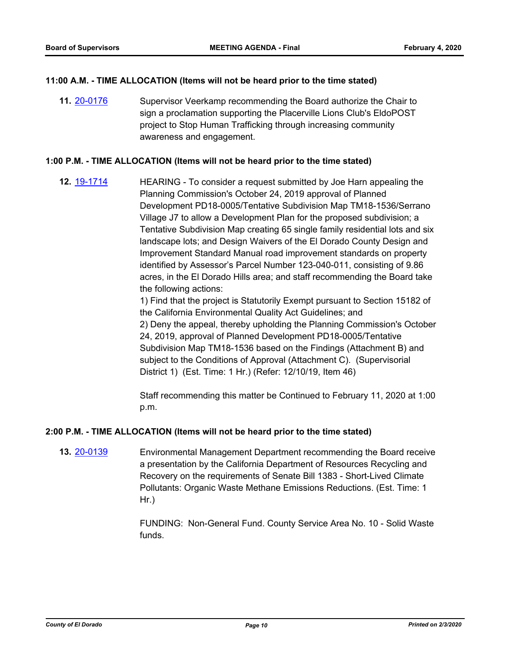#### **11:00 A.M. - TIME ALLOCATION (Items will not be heard prior to the time stated)**

Supervisor Veerkamp recommending the Board authorize the Chair to sign a proclamation supporting the Placerville Lions Club's EldoPOST project to Stop Human Trafficking through increasing community awareness and engagement. **11.** [20-0176](http://eldorado.legistar.com/gateway.aspx?m=l&id=/matter.aspx?key=27381)

#### **1:00 P.M. - TIME ALLOCATION (Items will not be heard prior to the time stated)**

HEARING - To consider a request submitted by Joe Harn appealing the Planning Commission's October 24, 2019 approval of Planned Development PD18-0005/Tentative Subdivision Map TM18-1536/Serrano Village J7 to allow a Development Plan for the proposed subdivision; a Tentative Subdivision Map creating 65 single family residential lots and six landscape lots; and Design Waivers of the El Dorado County Design and Improvement Standard Manual road improvement standards on property identified by Assessor's Parcel Number 123-040-011, consisting of 9.86 acres, in the El Dorado Hills area; and staff recommending the Board take the following actions: **12.** [19-1714](http://eldorado.legistar.com/gateway.aspx?m=l&id=/matter.aspx?key=27038)

1) Find that the project is Statutorily Exempt pursuant to Section 15182 of the California Environmental Quality Act Guidelines; and 2) Deny the appeal, thereby upholding the Planning Commission's October 24, 2019, approval of Planned Development PD18-0005/Tentative Subdivision Map TM18-1536 based on the Findings (Attachment B) and subject to the Conditions of Approval (Attachment C). (Supervisorial District 1) (Est. Time: 1 Hr.) (Refer: 12/10/19, Item 46)

Staff recommending this matter be Continued to February 11, 2020 at 1:00 p.m.

#### **2:00 P.M. - TIME ALLOCATION (Items will not be heard prior to the time stated)**

Environmental Management Department recommending the Board receive a presentation by the California Department of Resources Recycling and Recovery on the requirements of Senate Bill 1383 - Short-Lived Climate Pollutants: Organic Waste Methane Emissions Reductions. (Est. Time: 1 Hr.) **13.** [20-0139](http://eldorado.legistar.com/gateway.aspx?m=l&id=/matter.aspx?key=27344)

> FUNDING: Non-General Fund. County Service Area No. 10 - Solid Waste funds.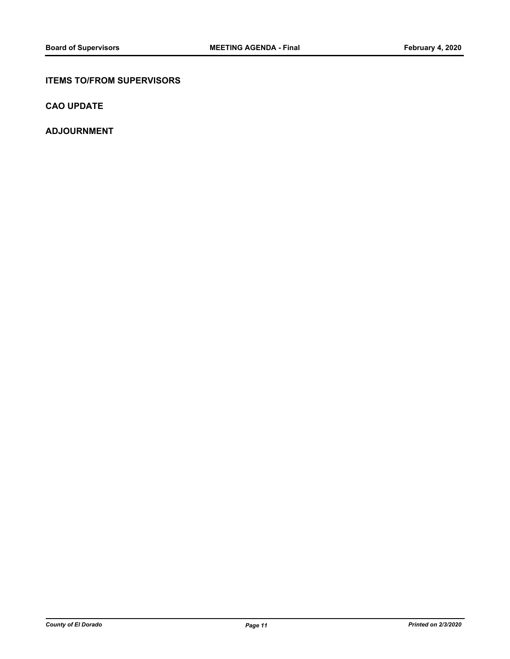#### **ITEMS TO/FROM SUPERVISORS**

**CAO UPDATE**

**ADJOURNMENT**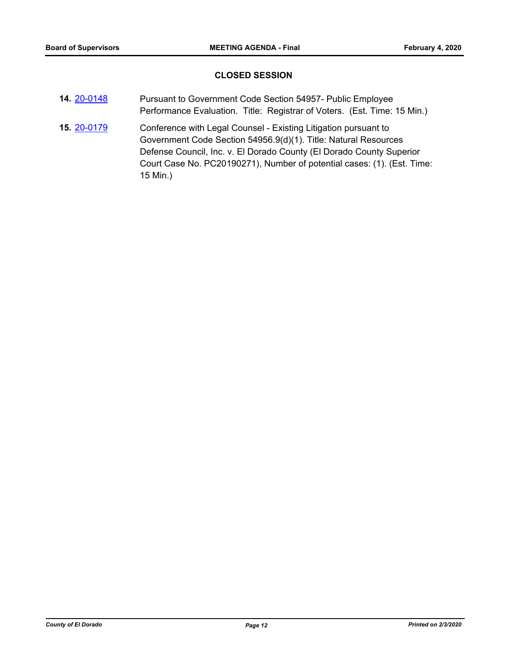#### **CLOSED SESSION**

| 14. 20-0148 | Pursuant to Government Code Section 54957- Public Employee               |
|-------------|--------------------------------------------------------------------------|
|             | Performance Evaluation. Title: Registrar of Voters. (Est. Time: 15 Min.) |

Conference with Legal Counsel - Existing Litigation pursuant to Government Code Section 54956.9(d)(1). Title: Natural Resources Defense Council, Inc. v. El Dorado County (El Dorado County Superior Court Case No. PC20190271), Number of potential cases: (1). (Est. Time: 15 Min.) **15.** [20-0179](http://eldorado.legistar.com/gateway.aspx?m=l&id=/matter.aspx?key=27384)